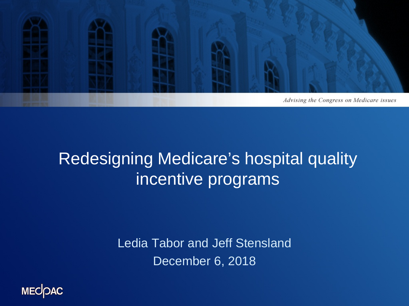

### Redesigning Medicare's hospital quality incentive programs

Ledia Tabor and Jeff Stensland December 6, 2018

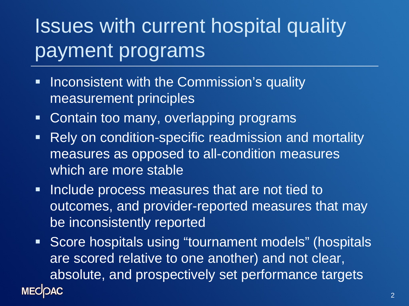# Issues with current hospital quality payment programs

- **Inconsistent with the Commission's quality** measurement principles
- **Contain too many, overlapping programs**
- **Rely on condition-specific readmission and mortality** measures as opposed to all-condition measures which are more stable
- **Include process measures that are not tied to** outcomes, and provider-reported measures that may be inconsistently reported
- **Score hospitals using "tournament models" (hospitals** are scored relative to one another) and not clear, absolute, and prospectively set performance targets **MECOAC**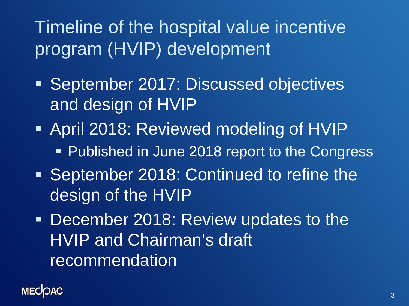### Timeline of the hospital value incentive program (HVIP) development

- September 2017: Discussed objectives and design of HVIP
- April 2018: Reviewed modeling of HVIP
	- **Published in June 2018 report to the Congress**
- September 2018: Continued to refine the design of the HVIP
- **December 2018: Review updates to the** HVIP and Chairman's draft recommendation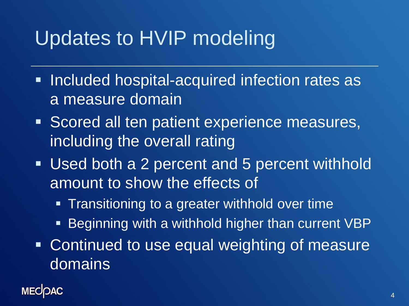## Updates to HVIP modeling

- **Included hospital-acquired infection rates as** a measure domain
- **Scored all ten patient experience measures,** including the overall rating
- **Used both a 2 percent and 5 percent withhold** amount to show the effects of
	- **Transitioning to a greater withhold over time**
	- **Beginning with a withhold higher than current VBP**
- **Continued to use equal weighting of measure** domains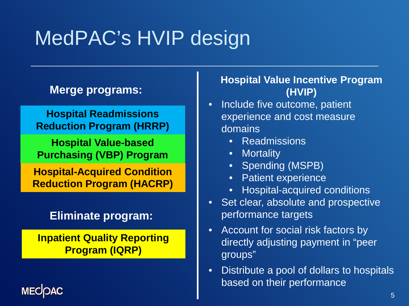# MedPAC's HVIP design

### **Merge programs:**

**Hospital Readmissions Reduction Program (HRRP)**

**Hospital Value-based Purchasing (VBP) Program**

**Hospital-Acquired Condition Reduction Program (HACRP)**

### **Eliminate program:**

**Inpatient Quality Reporting Program (IQRP)**

**MEC** 

#### **Hospital Value Incentive Program (HVIP)**

- Include five outcome, patient experience and cost measure domains
	- **Readmissions**
	- **Mortality**
	- Spending (MSPB)
	- Patient experience
	- Hospital-acquired conditions
- Set clear, absolute and prospective performance targets
- Account for social risk factors by directly adjusting payment in "peer groups"
- Distribute a pool of dollars to hospitals based on their performance

5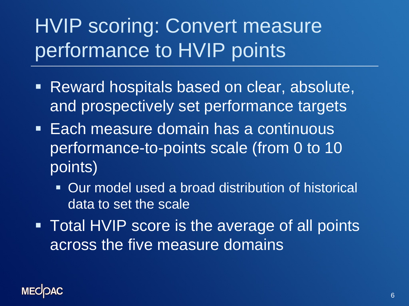# HVIP scoring: Convert measure performance to HVIP points

- Reward hospitals based on clear, absolute, and prospectively set performance targets
- **Each measure domain has a continuous** performance-to-points scale (from 0 to 10 points)
	- Our model used a broad distribution of historical data to set the scale
- **Total HVIP score is the average of all points** across the five measure domains

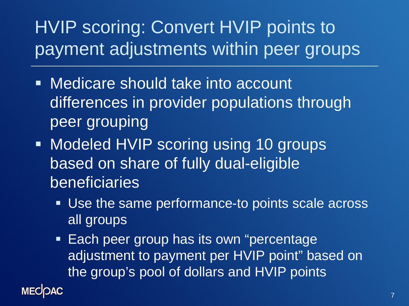### HVIP scoring: Convert HVIP points to payment adjustments within peer groups

- Medicare should take into account differences in provider populations through peer grouping
- **Modeled HVIP scoring using 10 groups** based on share of fully dual-eligible beneficiaries

**MECOAC** 

- Use the same performance-to points scale across all groups
- **Each peer group has its own "percentage"** adjustment to payment per HVIP point" based on the group's pool of dollars and HVIP points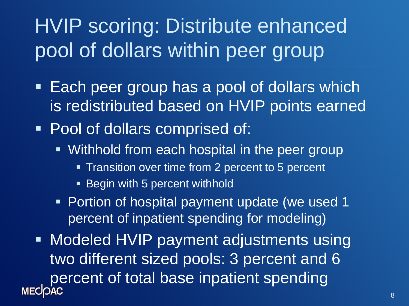# HVIP scoring: Distribute enhanced pool of dollars within peer group

- **Each peer group has a pool of dollars which** is redistributed based on HVIP points earned
- **Pool of dollars comprised of:** 
	- **Withhold from each hospital in the peer group** 
		- **Transition over time from 2 percent to 5 percent**
		- Begin with 5 percent withhold
	- **Portion of hospital payment update (we used 1** percent of inpatient spending for modeling)
- **Modeled HVIP payment adjustments using** two different sized pools: 3 percent and 6 percent of total base inpatient spending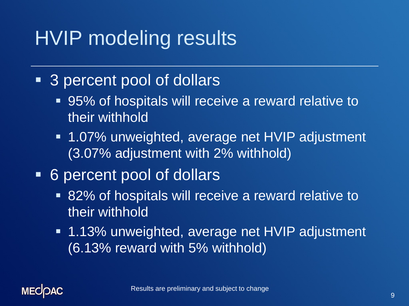### HVIP modeling results

- 3 percent pool of dollars
	- 95% of hospitals will receive a reward relative to their withhold
	- 1.07% unweighted, average net HVIP adjustment (3.07% adjustment with 2% withhold)
- 6 percent pool of dollars
	- 82% of hospitals will receive a reward relative to their withhold
	- 1.13% unweighted, average net HVIP adjustment (6.13% reward with 5% withhold)